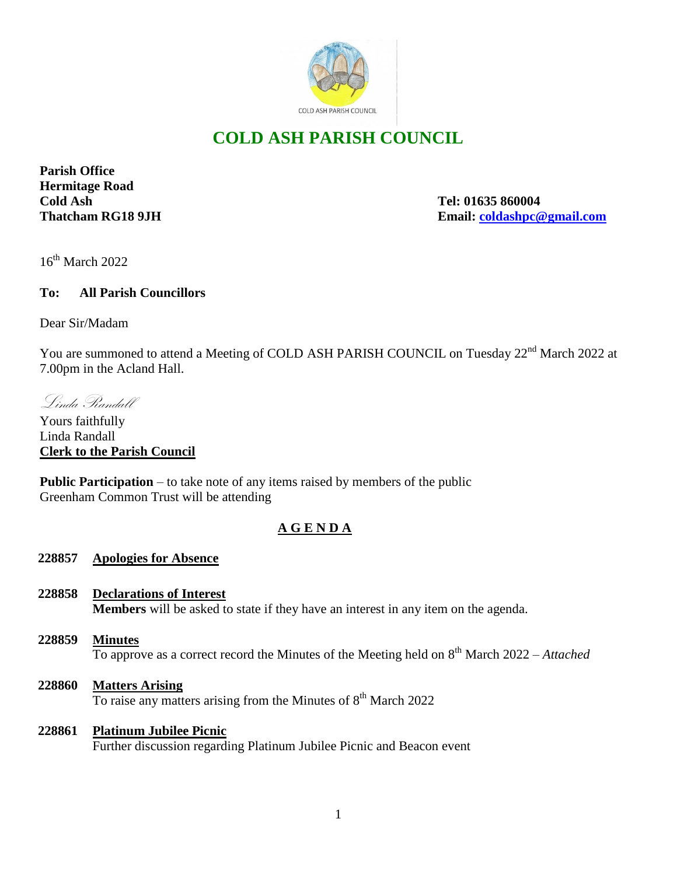

# **COLD ASH PARISH COUNCIL**

**Parish Office Hermitage Road Cold Ash Tel: 01635 860004**

**Thatcham RG18 9JH Email: [coldashpc@gmail.com](mailto:coldashpc@gmail.com)**

 $16^{th}$  March 2022

### **To: All Parish Councillors**

Dear Sir/Madam

You are summoned to attend a Meeting of COLD ASH PARISH COUNCIL on Tuesday 22<sup>nd</sup> March 2022 at 7.00pm in the Acland Hall.

Linda Randall

Yours faithfully Linda Randall **Clerk to the Parish Council** 

**Public Participation** – to take note of any items raised by members of the public Greenham Common Trust will be attending

# **A G E N D A**

### **228857 Apologies for Absence**

- **228858 Declarations of Interest Members** will be asked to state if they have an interest in any item on the agenda.
- **228859 Minutes** To approve as a correct record the Minutes of the Meeting held on 8 th March 2022 – *Attached*
- **228860 Matters Arising** To raise any matters arising from the Minutes of 8<sup>th</sup> March 2022

#### **228861 Platinum Jubilee Picnic**

Further discussion regarding Platinum Jubilee Picnic and Beacon event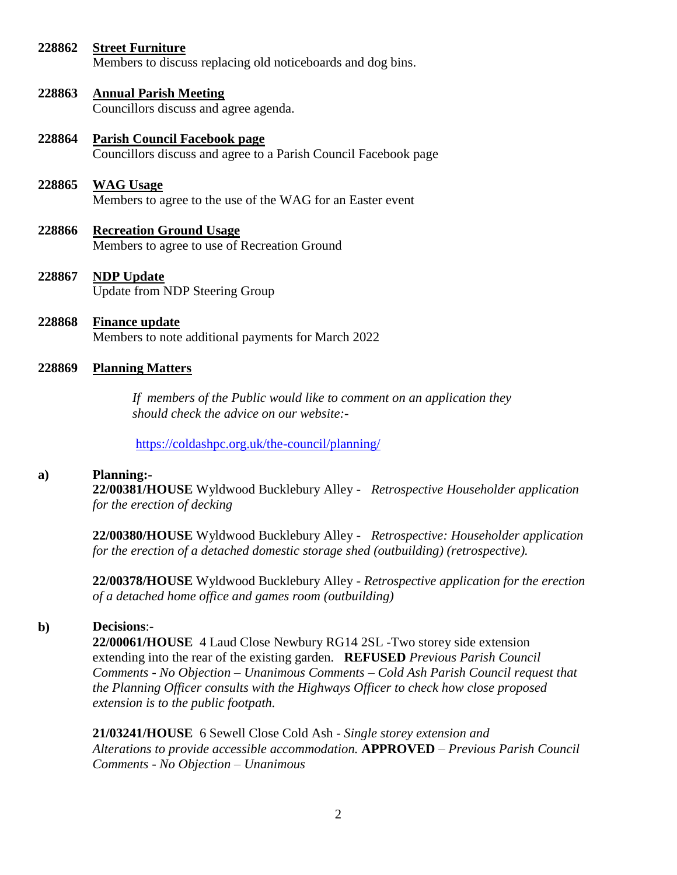#### **228862 Street Furniture**

Members to discuss replacing old noticeboards and dog bins.

#### **228863 Annual Parish Meeting**

Councillors discuss and agree agenda.

**228864 Parish Council Facebook page** Councillors discuss and agree to a Parish Council Facebook page

#### **228865 WAG Usage**

Members to agree to the use of the WAG for an Easter event

- **228866 Recreation Ground Usage** Members to agree to use of Recreation Ground
- **228867 NDP Update** Update from NDP Steering Group
- **228868 Finance update** Members to note additional payments for March 2022

#### **228869 Planning Matters**

 *If members of the Public would like to comment on an application they should check the advice on our website:-*

<https://coldashpc.org.uk/the-council/planning/>

#### **a) Planning:-**

**22/00381/HOUSE** Wyldwood Bucklebury Alley - *Retrospective Householder application for the erection of decking*

**22/00380/HOUSE** Wyldwood Bucklebury Alley - *Retrospective: Householder application for the erection of a detached domestic storage shed (outbuilding) (retrospective).*

**22/00378/HOUSE** Wyldwood Bucklebury Alley - *Retrospective application for the erection of a detached home office and games room (outbuilding)*

#### **b) Decisions**:-

**22/00061/HOUSE** 4 Laud Close Newbury RG14 2SL -Two storey side extension extending into the rear of the existing garden. **REFUSED** *Previous Parish Council Comments - No Objection – Unanimous Comments – Cold Ash Parish Council request that the Planning Officer consults with the Highways Officer to check how close proposed extension is to the public footpath.*

**21/03241/HOUSE** 6 Sewell Close Cold Ash *- Single storey extension and Alterations to provide accessible accommodation.* **APPROVED** *– Previous Parish Council Comments - No Objection – Unanimous*